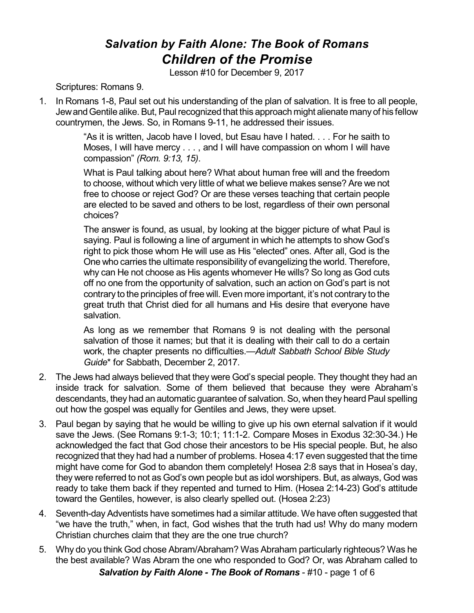## *Salvation by Faith Alone: The Book of Romans Children of the Promise*

Lesson #10 for December 9, 2017

Scriptures: Romans 9.

1. In Romans 1-8, Paul set out his understanding of the plan of salvation. It is free to all people, Jew and Gentile alike. But, Paul recognized that this approach might alienate many of his fellow countrymen, the Jews. So, in Romans 9-11, he addressed their issues.

> "As it is written, Jacob have I loved, but Esau have I hated. . . . For he saith to Moses, I will have mercy . . . , and I will have compassion on whom I will have compassion" *(Rom. 9:13, 15)*.

> What is Paul talking about here? What about human free will and the freedom to choose, without which very little of what we believe makes sense? Are we not free to choose or reject God? Or are these verses teaching that certain people are elected to be saved and others to be lost, regardless of their own personal choices?

> The answer is found, as usual, by looking at the bigger picture of what Paul is saying. Paul is following a line of argument in which he attempts to show God's right to pick those whom He will use as His "elected" ones. After all, God is the One who carries the ultimate responsibility of evangelizing the world. Therefore, why can He not choose as His agents whomever He wills? So long as God cuts off no one from the opportunity of salvation, such an action on God's part is not contrary to the principles of free will. Even more important, it's not contrary to the great truth that Christ died for all humans and His desire that everyone have salvation.

> As long as we remember that Romans 9 is not dealing with the personal salvation of those it names; but that it is dealing with their call to do a certain work, the chapter presents no difficulties.—*Adult Sabbath School Bible Study Guide*\* for Sabbath, December 2, 2017.

- 2. The Jews had always believed that they were God's special people. They thought they had an inside track for salvation. Some of them believed that because they were Abraham's descendants, they had an automatic guarantee of salvation. So, when they heard Paul spelling out how the gospel was equally for Gentiles and Jews, they were upset.
- 3. Paul began by saying that he would be willing to give up his own eternal salvation if it would save the Jews. (See Romans 9:1-3; 10:1; 11:1-2. Compare Moses in Exodus 32:30-34.) He acknowledged the fact that God chose their ancestors to be His special people. But, he also recognized that they had had a number of problems. Hosea 4:17 even suggested that the time might have come for God to abandon them completely! Hosea 2:8 says that in Hosea's day, they were referred to not as God's own people but as idol worshipers. But, as always, God was ready to take them back if they repented and turned to Him. (Hosea 2:14-23) God's attitude toward the Gentiles, however, is also clearly spelled out. (Hosea 2:23)
- 4. Seventh-day Adventists have sometimes had a similar attitude. We have often suggested that "we have the truth," when, in fact, God wishes that the truth had us! Why do many modern Christian churches claim that they are the one true church?
- 5. Why do you think God chose Abram/Abraham? Was Abraham particularly righteous? Was he the best available? Was Abram the one who responded to God? Or, was Abraham called to *Salvation by Faith Alone - The Book of Romans* - #10 - page 1 of 6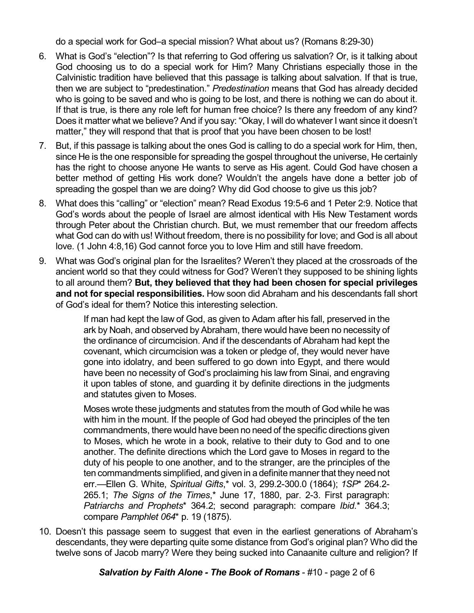do a special work for God–a special mission? What about us? (Romans 8:29-30)

- 6. What is God's "election"? Is that referring to God offering us salvation? Or, is it talking about God choosing us to do a special work for Him? Many Christians especially those in the Calvinistic tradition have believed that this passage is talking about salvation. If that is true, then we are subject to "predestination." *Predestination* means that God has already decided who is going to be saved and who is going to be lost, and there is nothing we can do about it. If that is true, is there any role left for human free choice? Is there any freedom of any kind? Does it matter what we believe? And if you say: "Okay, I will do whatever I want since it doesn't matter," they will respond that that is proof that you have been chosen to be lost!
- 7. But, if this passage is talking about the ones God is calling to do a special work for Him, then, since He is the one responsible for spreading the gospel throughout the universe, He certainly has the right to choose anyone He wants to serve as His agent. Could God have chosen a better method of getting His work done? Wouldn't the angels have done a better job of spreading the gospel than we are doing? Why did God choose to give us this job?
- 8. What does this "calling" or "election" mean? Read Exodus 19:5-6 and 1 Peter 2:9. Notice that God's words about the people of Israel are almost identical with His New Testament words through Peter about the Christian church. But, we must remember that our freedom affects what God can do with us! Without freedom, there is no possibility for love; and God is all about love. (1 John 4:8,16) God cannot force you to love Him and still have freedom.
- 9. What was God's original plan for the Israelites? Weren't they placed at the crossroads of the ancient world so that they could witness for God? Weren't they supposed to be shining lights to all around them? **But, they believed that they had been chosen for special privileges and not for special responsibilities.** How soon did Abraham and his descendants fall short of God's ideal for them? Notice this interesting selection.

If man had kept the law of God, as given to Adam after his fall, preserved in the ark by Noah, and observed by Abraham, there would have been no necessity of the ordinance of circumcision. And if the descendants of Abraham had kept the covenant, which circumcision was a token or pledge of, they would never have gone into idolatry, and been suffered to go down into Egypt, and there would have been no necessity of God's proclaiming his law from Sinai, and engraving it upon tables of stone, and guarding it by definite directions in the judgments and statutes given to Moses.

Moses wrote these judgments and statutes from the mouth of God while he was with him in the mount. If the people of God had obeyed the principles of the ten commandments, there would have been no need of the specific directions given to Moses, which he wrote in a book, relative to their duty to God and to one another. The definite directions which the Lord gave to Moses in regard to the duty of his people to one another, and to the stranger, are the principles of the ten commandments simplified, and given in a definite manner that they need not err.—Ellen G. White, *Spiritual Gifts*,\* vol. 3, 299.2-300.0 (1864); *1SP*\* 264.2- 265.1; *The Signs of the Times*,\* June 17, 1880, par. 2-3. First paragraph: *Patriarchs and Prophets*\* 364.2; second paragraph: compare *Ibid*.\* 364.3; compare *Pamphlet 064*\* p. 19 (1875).

10. Doesn't this passage seem to suggest that even in the earliest generations of Abraham's descendants, they were departing quite some distance from God's original plan? Who did the twelve sons of Jacob marry? Were they being sucked into Canaanite culture and religion? If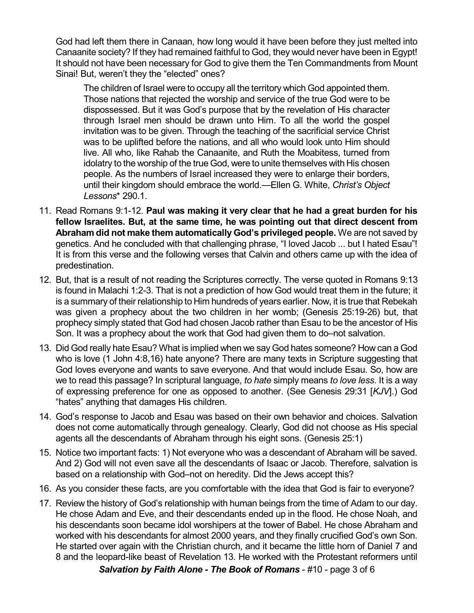God had left them there in Canaan, how long would it have been before they just melted into Canaanite society? If they had remained faithful to God, they would never have been in Egypt! It should not have been necessary for God to give them the Ten Commandments from Mount Sinai! But, weren't they the "elected" ones?

The children of Israel were to occupy all the territory which God appointed them. Those nations that rejected the worship and service of the true God were to be dispossessed. But it was God's purpose that by the revelation of His character through Israel men should be drawn unto Him. To all the world the gospel invitation was to be given. Through the teaching of the sacrificial service Christ was to be uplifted before the nations, and all who would look unto Him should live. All who, like Rahab the Canaanite, and Ruth the Moabitess, turned from idolatry to the worship of the true God, were to unite themselves with His chosen people. As the numbers of Israel increased they were to enlarge their borders, until their kingdom should embrace the world.—Ellen G. White, *Christ's Object Lessons*\* 290.1.

- 11. Read Romans 9:1-12. **Paul was making it very clear that he had a great burden for his fellow Israelites. But, at the same time, he was pointing out that direct descent from Abraham did not make them automatically God's privileged people.** We are not saved by genetics. And he concluded with that challenging phrase, "I loved Jacob ... but I hated Esau"! It is from this verse and the following verses that Calvin and others came up with the idea of predestination.
- 12. But, that is a result of not reading the Scriptures correctly. The verse quoted in Romans 9:13 is found in Malachi 1:2-3. That is not a prediction of how God would treat them in the future; it is a summary of their relationship to Him hundreds of years earlier. Now, it is true that Rebekah was given a prophecy about the two children in her womb; (Genesis 25:19-26) but, that prophecy simply stated that God had chosen Jacob rather than Esau to be the ancestor of His Son. It was a prophecy about the work that God had given them to do–not salvation.
- 13. Did God really hate Esau? What is implied when we say God hates someone? How can a God who is love (1 John 4:8,16) hate anyone? There are many texts in Scripture suggesting that God loves everyone and wants to save everyone. And that would include Esau. So, how are we to read this passage? In scriptural language, *to hate* simply means *to love less*. It is a way of expressing preference for one as opposed to another. (See Genesis 29:31 [*KJV*].) God "hates" anything that damages His children.
- 14. God's response to Jacob and Esau was based on their own behavior and choices. Salvation does not come automatically through genealogy. Clearly, God did not choose as His special agents all the descendants of Abraham through his eight sons. (Genesis 25:1)
- 15. Notice two important facts: 1) Not everyone who was a descendant of Abraham will be saved. And 2) God will not even save all the descendants of Isaac or Jacob. Therefore, salvation is based on a relationship with God–not on heredity. Did the Jews accept this?
- 16. As you consider these facts, are you comfortable with the idea that God is fair to everyone?
- 17. Review the history of God's relationship with human beings from the time of Adam to our day. He chose Adam and Eve, and their descendants ended up in the flood. He chose Noah, and his descendants soon became idol worshipers at the tower of Babel. He chose Abraham and worked with his descendants for almost 2000 years, and they finally crucified God's own Son. He started over again with the Christian church, and it became the little horn of Daniel 7 and 8 and the leopard-like beast of Revelation 13. He worked with the Protestant reformers until *Salvation by Faith Alone - The Book of Romans* - #10 - page 3 of 6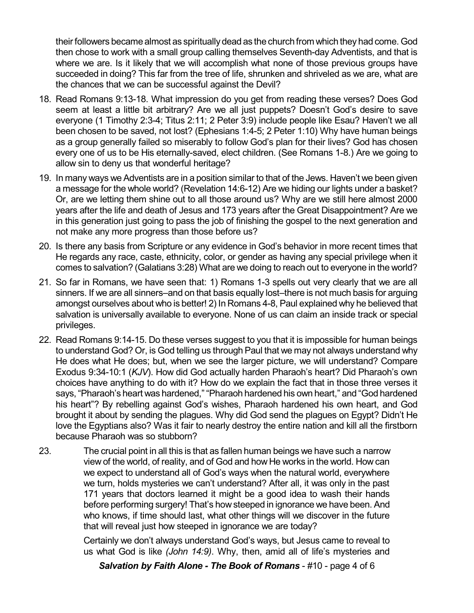their followers became almost as spiritually dead as the church from which they had come. God then chose to work with a small group calling themselves Seventh-day Adventists, and that is where we are. Is it likely that we will accomplish what none of those previous groups have succeeded in doing? This far from the tree of life, shrunken and shriveled as we are, what are the chances that we can be successful against the Devil?

- 18. Read Romans 9:13-18. What impression do you get from reading these verses? Does God seem at least a little bit arbitrary? Are we all just puppets? Doesn't God's desire to save everyone (1 Timothy 2:3-4; Titus 2:11; 2 Peter 3:9) include people like Esau? Haven't we all been chosen to be saved, not lost? (Ephesians 1:4-5; 2 Peter 1:10) Why have human beings as a group generally failed so miserably to follow God's plan for their lives? God has chosen every one of us to be His eternally-saved, elect children. (See Romans 1-8.) Are we going to allow sin to deny us that wonderful heritage?
- 19. In many ways we Adventists are in a position similar to that of the Jews. Haven't we been given a message for the whole world? (Revelation 14:6-12) Are we hiding our lights under a basket? Or, are we letting them shine out to all those around us? Why are we still here almost 2000 years after the life and death of Jesus and 173 years after the Great Disappointment? Are we in this generation just going to pass the job of finishing the gospel to the next generation and not make any more progress than those before us?
- 20. Is there any basis from Scripture or any evidence in God's behavior in more recent times that He regards any race, caste, ethnicity, color, or gender as having any special privilege when it comes to salvation? (Galatians 3:28) What are we doing to reach out to everyone in the world?
- 21. So far in Romans, we have seen that: 1) Romans 1-3 spells out very clearly that we are all sinners. If we are all sinners–and on that basis equally lost–there is not much basis for arguing amongst ourselves about who is better! 2) In Romans 4-8, Paul explained why he believed that salvation is universally available to everyone. None of us can claim an inside track or special privileges.
- 22. Read Romans 9:14-15. Do these verses suggest to you that it is impossible for human beings to understand God? Or, is God telling us through Paul that we may not always understand why He does what He does; but, when we see the larger picture, we will understand? Compare Exodus 9:34-10:1 (*KJV*). How did God actually harden Pharaoh's heart? Did Pharaoh's own choices have anything to do with it? How do we explain the fact that in those three verses it says, "Pharaoh's heart was hardened," "Pharaoh hardened his own heart," and "God hardened his heart"? By rebelling against God's wishes, Pharaoh hardened his own heart, and God brought it about by sending the plagues. Why did God send the plagues on Egypt? Didn't He love the Egyptians also? Was it fair to nearly destroy the entire nation and kill all the firstborn because Pharaoh was so stubborn?
- 23. The crucial point in all this is that as fallen human beings we have such a narrow view of the world, of reality, and of God and how He works in the world. How can we expect to understand all of God's ways when the natural world, everywhere we turn, holds mysteries we can't understand? After all, it was only in the past 171 years that doctors learned it might be a good idea to wash their hands before performing surgery! That's how steeped in ignorance we have been. And who knows, if time should last, what other things will we discover in the future that will reveal just how steeped in ignorance we are today?

Certainly we don't always understand God's ways, but Jesus came to reveal to us what God is like *(John 14:9)*. Why, then, amid all of life's mysteries and

*Salvation by Faith Alone - The Book of Romans* - #10 - page 4 of 6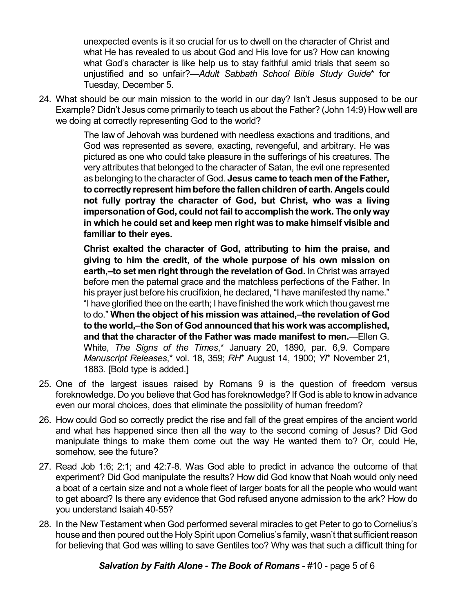unexpected events is it so crucial for us to dwell on the character of Christ and what He has revealed to us about God and His love for us? How can knowing what God's character is like help us to stay faithful amid trials that seem so unjustified and so unfair?—*Adult Sabbath School Bible Study Guide*\* for Tuesday, December 5.

24. What should be our main mission to the world in our day? Isn't Jesus supposed to be our Example? Didn't Jesus come primarily to teach us about the Father? (John 14:9) How well are we doing at correctly representing God to the world?

> The law of Jehovah was burdened with needless exactions and traditions, and God was represented as severe, exacting, revengeful, and arbitrary. He was pictured as one who could take pleasure in the sufferings of his creatures. The very attributes that belonged to the character of Satan, the evil one represented as belonging to the character of God. **Jesus came to teach men of the Father, to correctly represent him before the fallen children of earth. Angels could not fully portray the character of God, but Christ, who was a living impersonation of God, could not fail to accomplish the work. The onlyway in which he could set and keep men right was to make himself visible and familiar to their eyes.**

> **Christ exalted the character of God, attributing to him the praise, and giving to him the credit, of the whole purpose of his own mission on earth,–to set men right through the revelation of God.** In Christ was arrayed before men the paternal grace and the matchless perfections of the Father. In his prayer just before his crucifixion, he declared, "I have manifested thy name." "I have glorified thee on the earth; I have finished the work which thou gavest me to do." **When the object of his mission was attained,–the revelation of God to the world,–the Son of God announced that his work was accomplished, and that the character of the Father was made manifest to men.**—Ellen G. White, *The Signs of the Times*,\* January 20, 1890, par. 6,9. Compare *Manuscript Releases*,\* vol. 18, 359; *RH*\* August 14, 1900; *YI*\* November 21, 1883. [Bold type is added.]

- 25. One of the largest issues raised by Romans 9 is the question of freedom versus foreknowledge. Do you believe that God has foreknowledge? If God is able to knowin advance even our moral choices, does that eliminate the possibility of human freedom?
- 26. How could God so correctly predict the rise and fall of the great empires of the ancient world and what has happened since then all the way to the second coming of Jesus? Did God manipulate things to make them come out the way He wanted them to? Or, could He, somehow, see the future?
- 27. Read Job 1:6; 2:1; and 42:7-8. Was God able to predict in advance the outcome of that experiment? Did God manipulate the results? How did God know that Noah would only need a boat of a certain size and not a whole fleet of larger boats for all the people who would want to get aboard? Is there any evidence that God refused anyone admission to the ark? How do you understand Isaiah 40-55?
- 28. In the New Testament when God performed several miracles to get Peter to go to Cornelius's house and then poured out the Holy Spirit upon Cornelius's family, wasn't that sufficient reason for believing that God was willing to save Gentiles too? Why was that such a difficult thing for

*Salvation by Faith Alone - The Book of Romans* - #10 - page 5 of 6